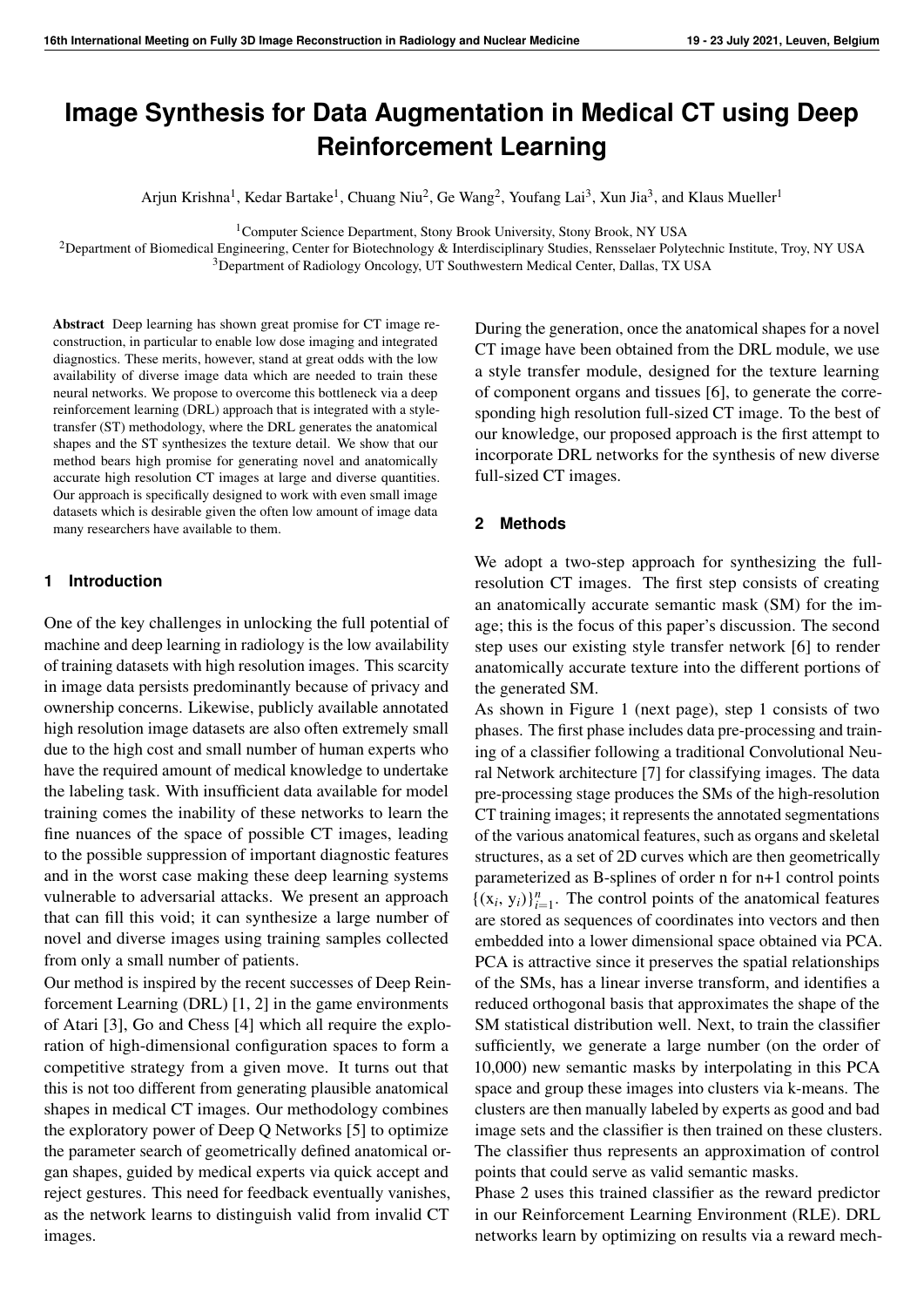# **Image Synthesis for Data Augmentation in Medical CT using Deep Reinforcement Learning**

Arjun Krishna<sup>1</sup>, Kedar Bartake<sup>1</sup>, Chuang Niu<sup>2</sup>, Ge Wang<sup>2</sup>, Youfang Lai<sup>3</sup>, Xun Jia<sup>3</sup>, and Klaus Mueller<sup>1</sup>

<sup>1</sup>Computer Science Department, Stony Brook University, Stony Brook, NY USA

<sup>2</sup>Department of Biomedical Engineering, Center for Biotechnology & Interdisciplinary Studies, Rensselaer Polytechnic Institute, Troy, NY USA <sup>3</sup>Department of Radiology Oncology, UT Southwestern Medical Center, Dallas, TX USA

Abstract Deep learning has shown great promise for CT image reconstruction, in particular to enable low dose imaging and integrated diagnostics. These merits, however, stand at great odds with the low availability of diverse image data which are needed to train these neural networks. We propose to overcome this bottleneck via a deep reinforcement learning (DRL) approach that is integrated with a styletransfer (ST) methodology, where the DRL generates the anatomical shapes and the ST synthesizes the texture detail. We show that our method bears high promise for generating novel and anatomically accurate high resolution CT images at large and diverse quantities. Our approach is specifically designed to work with even small image datasets which is desirable given the often low amount of image data many researchers have available to them.

### **1 Introduction**

One of the key challenges in unlocking the full potential of machine and deep learning in radiology is the low availability of training datasets with high resolution images. This scarcity in image data persists predominantly because of privacy and ownership concerns. Likewise, publicly available annotated high resolution image datasets are also often extremely small due to the high cost and small number of human experts who have the required amount of medical knowledge to undertake the labeling task. With insufficient data available for model training comes the inability of these networks to learn the fine nuances of the space of possible CT images, leading to the possible suppression of important diagnostic features and in the worst case making these deep learning systems vulnerable to adversarial attacks. We present an approach that can fill this void; it can synthesize a large number of novel and diverse images using training samples collected from only a small number of patients.

Our method is inspired by the recent successes of Deep Reinforcement Learning (DRL) [\[1,](#page-3-0) [2\]](#page-3-1) in the game environments of Atari [\[3\]](#page-3-2), Go and Chess [\[4\]](#page-3-3) which all require the exploration of high-dimensional configuration spaces to form a competitive strategy from a given move. It turns out that this is not too different from generating plausible anatomical shapes in medical CT images. Our methodology combines the exploratory power of Deep Q Networks [\[5\]](#page-3-4) to optimize the parameter search of geometrically defined anatomical organ shapes, guided by medical experts via quick accept and reject gestures. This need for feedback eventually vanishes, as the network learns to distinguish valid from invalid CT images.

During the generation, once the anatomical shapes for a novel CT image have been obtained from the DRL module, we use a style transfer module, designed for the texture learning of component organs and tissues [\[6\]](#page-3-5), to generate the corresponding high resolution full-sized CT image. To the best of our knowledge, our proposed approach is the first attempt to incorporate DRL networks for the synthesis of new diverse full-sized CT images.

### **2 Methods**

We adopt a two-step approach for synthesizing the fullresolution CT images. The first step consists of creating an anatomically accurate semantic mask (SM) for the image; this is the focus of this paper's discussion. The second step uses our existing style transfer network [\[6\]](#page-3-5) to render anatomically accurate texture into the different portions of the generated SM.

As shown in Figure 1 (next page), step 1 consists of two phases. The first phase includes data pre-processing and training of a classifier following a traditional Convolutional Neural Network architecture [\[7\]](#page-3-6) for classifying images. The data pre-processing stage produces the SMs of the high-resolution CT training images; it represents the annotated segmentations of the various anatomical features, such as organs and skeletal structures, as a set of 2D curves which are then geometrically parameterized as B-splines of order n for n+1 control points  $\{(x_i, y_i)\}_{i=1}^n$ . The control points of the anatomical features are stored as sequences of coordinates into vectors and then embedded into a lower dimensional space obtained via PCA. PCA is attractive since it preserves the spatial relationships of the SMs, has a linear inverse transform, and identifies a reduced orthogonal basis that approximates the shape of the SM statistical distribution well. Next, to train the classifier sufficiently, we generate a large number (on the order of 10,000) new semantic masks by interpolating in this PCA space and group these images into clusters via k-means. The clusters are then manually labeled by experts as good and bad image sets and the classifier is then trained on these clusters. The classifier thus represents an approximation of control points that could serve as valid semantic masks.

Phase 2 uses this trained classifier as the reward predictor in our Reinforcement Learning Environment (RLE). DRL networks learn by optimizing on results via a reward mech-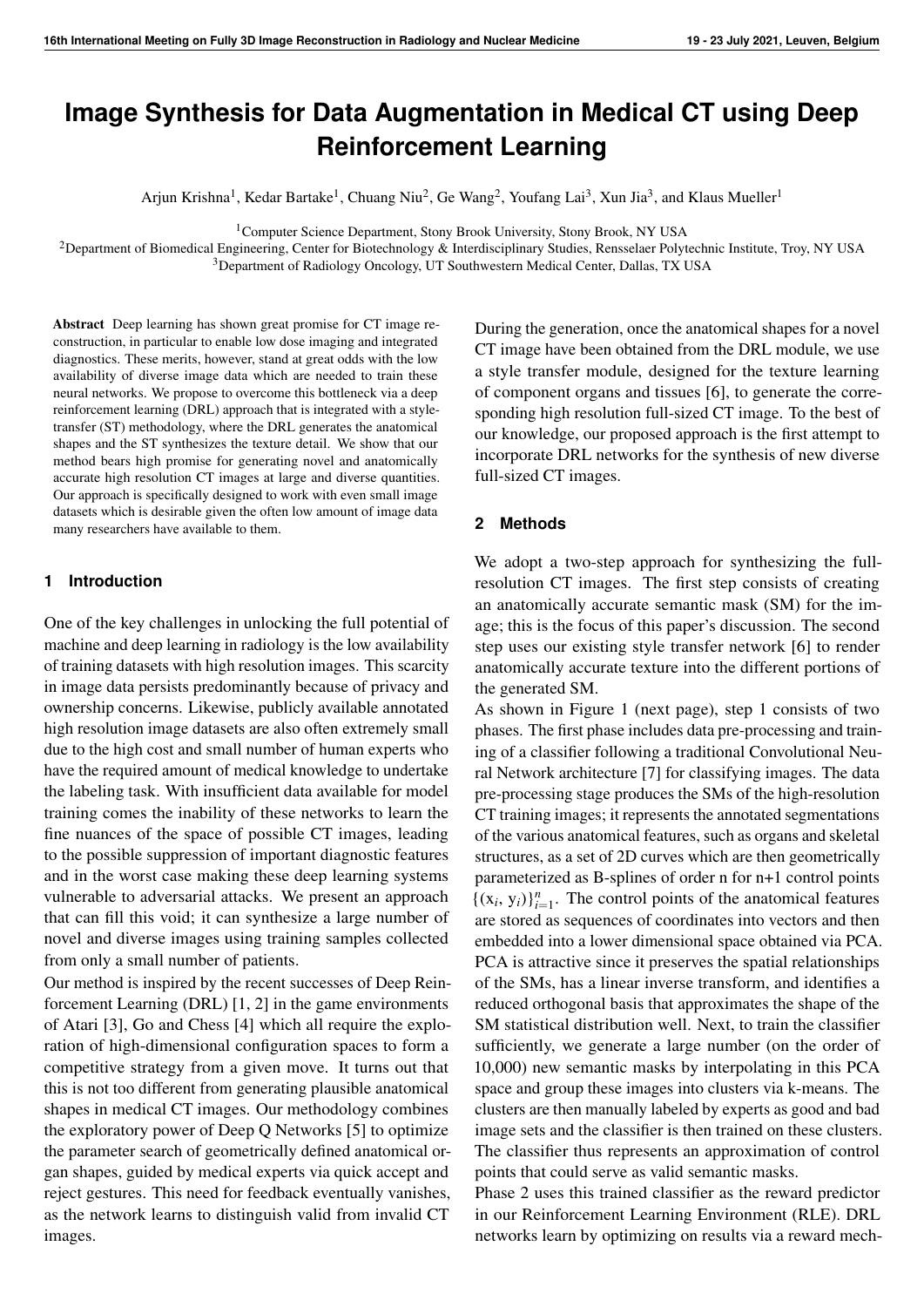

**Figure 1:** Two-Phase box diagram for training RL agents. The pre-trained classifier in Phase 1 is used as reward predictor in Phase 2. Segment refers to the resulting SM from agents' actions. Preference refers to the user preference of one segment (SM) over other.

anism that derives from the rules of the environment. This environment serves to stimulate the learning of an effective strategy for exploring the anatomical shape space to facilitate a diversified yet accurate image generation. Our specific environment for DRL involves a user-feedback interface that consists of a front-end where linear interpolations between the semantic masks of two distinct valid SMs are corrected by the agents of the RLE followed by the expert user marking them as good or not. This feedback is then used to further train the classifier/reward predictor such that it can give better predictions of the actual rewards to the agents as they try to correct future interpolations. Hence the agents in RLE and the reward predictor are trained asynchronously. As the reward predictor gets better, so do the actions of the agents and consequently we gain more semantic masks representing valid plausible anatomy.

Our contributions are as follows:

- We discuss a robust way of learning anatomical shapes via their geometrical representations of B-splines and their interpolations / samplings in PCA space.
- We define an environment where the true image space of the anatomical shapes could be discovered without the supporting dataset via Reinforcement Learning.
- We build a visual user-interface where users can control and guide the generation process. Once sufficiently trained, users have the option to add the generated images to the training dataset.

## **2.1 General Interpolation Framework: B-Splines and PCA Interpolation**

Curvature is a central morphological feature of organs, tissues, cells, and sub-cellular structures [\[8\]](#page-3-7). Hence we represent the curve shapes by the set of control points with

strongest curvatures between some predefined distances across the whole curves depicting organs, skeletal structures, etc., we shall refer to it as *anatomical shapes*. These control points also integrate easily with B-spline curves to decode them back into full curves. B-spline curves provide flexibility to represent these anatomical curves [\[9\]](#page-3-8) since the degree of a B-spline curve is separated from the number of control points. Hence lower degree B-spline curves can still maintain a large number of control points and the position of a control point would not change the shape of the whole curve (local modification property). Since B-splines are locally adjustable and can model complex shapes with a small number of defined points, they are an excellent choice to model anatomical shapes with control points selected based on strong curvatures.

Since each semantic mask (SM) is expressed as a set of control points, we embed the training data SMs in a lower dimensional space via Principal Component Analysis (PCA). The PCA model is used to reconstruct the anatomical shapes of the training dataset giving us a repository of coefficients for eigen-vectors that make plausible anatomy for lung CT SMs. We can then reconstruct new anatomy curves by sampling these coefficients. Each type of anatomical shape, such as left lung, right lung, torso, spinal cord, esophagus, and heart, forms a dedicated subspace of SM vectors and is represented as a multivariate Gaussian with mean (for each coefficient of the corresponding eigen-vector) and co-variance matrix. The set of anatomical shapes for a specific SM are interlinked so they can be jointly used in the interpolation procedure. In our initial implementation we represented all anatomical shapes of the training SMs as a single vector to form a single multivariate Gaussian. In practice, however. this approach does not work well and fails to generate SMs with correlated anatomical shapes.

One way to generate a novel SM is to take any two available SMs and linearly interpolate between the two. One problem